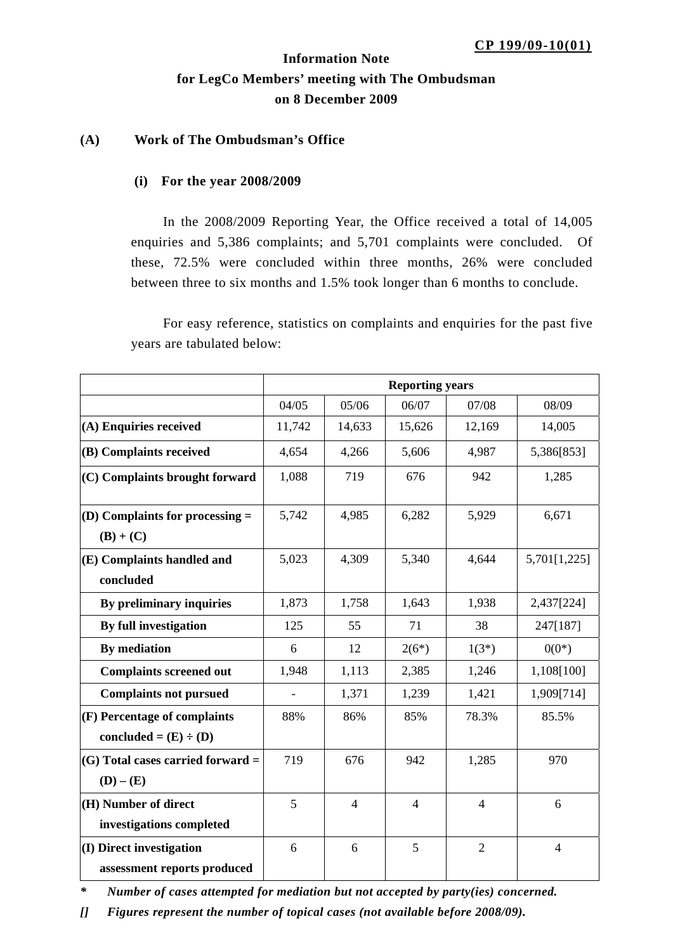# **Information Note for LegCo Members' meeting with The Ombudsman on 8 December 2009**

### **(A) Work of The Ombudsman's Office**

#### **(i) For the year 2008/2009**

In the 2008/2009 Reporting Year, the Office received a total of 14,005 enquiries and 5,386 complaints; and 5,701 complaints were concluded. Of these, 72.5% were concluded within three months, 26% were concluded between three to six months and 1.5% took longer than 6 months to conclude.

For easy reference, statistics on complaints and enquiries for the past five years are tabulated below:

|                                     | <b>Reporting years</b> |                |                |                |                |
|-------------------------------------|------------------------|----------------|----------------|----------------|----------------|
|                                     | 04/05                  | 05/06          | 06/07          | 07/08          | 08/09          |
| (A) Enquiries received              | 11,742                 | 14,633         | 15,626         | 12,169         | 14,005         |
| (B) Complaints received             | 4,654                  | 4,266          | 5,606          | 4,987          | 5,386[853]     |
| (C) Complaints brought forward      | 1,088                  | 719            | 676            | 942            | 1,285          |
| $(D)$ Complaints for processing $=$ | 5,742                  | 4,985          | 6,282          | 5,929          | 6,671          |
| $(B) + (C)$                         |                        |                |                |                |                |
| (E) Complaints handled and          | 5,023                  | 4,309          | 5,340          | 4,644          | 5,701[1,225]   |
| concluded                           |                        |                |                |                |                |
| By preliminary inquiries            | 1,873                  | 1,758          | 1,643          | 1,938          | 2,437[224]     |
| By full investigation               | 125                    | 55             | 71             | 38             | 247[187]       |
| <b>By mediation</b>                 | 6                      | 12             | $2(6^*)$       | $1(3^*)$       | $0(0^*)$       |
| <b>Complaints screened out</b>      | 1,948                  | 1,113          | 2,385          | 1,246          | 1,108[100]     |
| <b>Complaints not pursued</b>       |                        | 1,371          | 1,239          | 1,421          | 1,909[714]     |
| (F) Percentage of complaints        | 88%                    | 86%            | 85%            | 78.3%          | 85.5%          |
| concluded = $(E) \div (D)$          |                        |                |                |                |                |
| $(G)$ Total cases carried forward = | 719                    | 676            | 942            | 1,285          | 970            |
| $(D) - (E)$                         |                        |                |                |                |                |
| (H) Number of direct                | 5                      | $\overline{4}$ | $\overline{4}$ | $\overline{4}$ | 6              |
| investigations completed            |                        |                |                |                |                |
| (I) Direct investigation            | 6                      | 6              | 5              | $\overline{2}$ | $\overline{4}$ |
| assessment reports produced         |                        |                |                |                |                |

*\* Number of cases attempted for mediation but not accepted by party(ies) concerned.* 

*[] Figures represent the number of topical cases (not available before 2008/09).*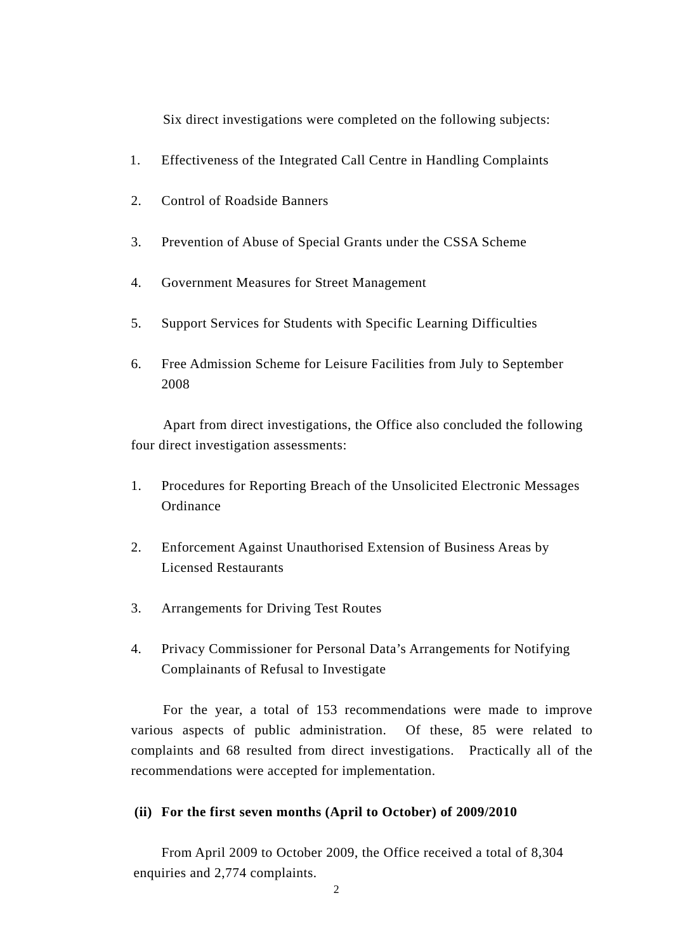Six direct investigations were completed on the following subjects:

- 1. Effectiveness of the Integrated Call Centre in Handling Complaints
- 2. Control of Roadside Banners
- 3. Prevention of Abuse of Special Grants under the CSSA Scheme
- 4. Government Measures for Street Management
- 5. Support Services for Students with Specific Learning Difficulties
- 6. Free Admission Scheme for Leisure Facilities from July to September 2008

Apart from direct investigations, the Office also concluded the following four direct investigation assessments:

- 1. Procedures for Reporting Breach of the Unsolicited Electronic Messages **Ordinance**
- 2. Enforcement Against Unauthorised Extension of Business Areas by Licensed Restaurants
- 3. Arrangements for Driving Test Routes
- 4. Privacy Commissioner for Personal Data's Arrangements for Notifying Complainants of Refusal to Investigate

For the year, a total of 153 recommendations were made to improve various aspects of public administration. Of these, 85 were related to complaints and 68 resulted from direct investigations. Practically all of the recommendations were accepted for implementation.

#### **(ii) For the first seven months (April to October) of 2009/2010**

 From April 2009 to October 2009, the Office received a total of 8,304 enquiries and 2,774 complaints.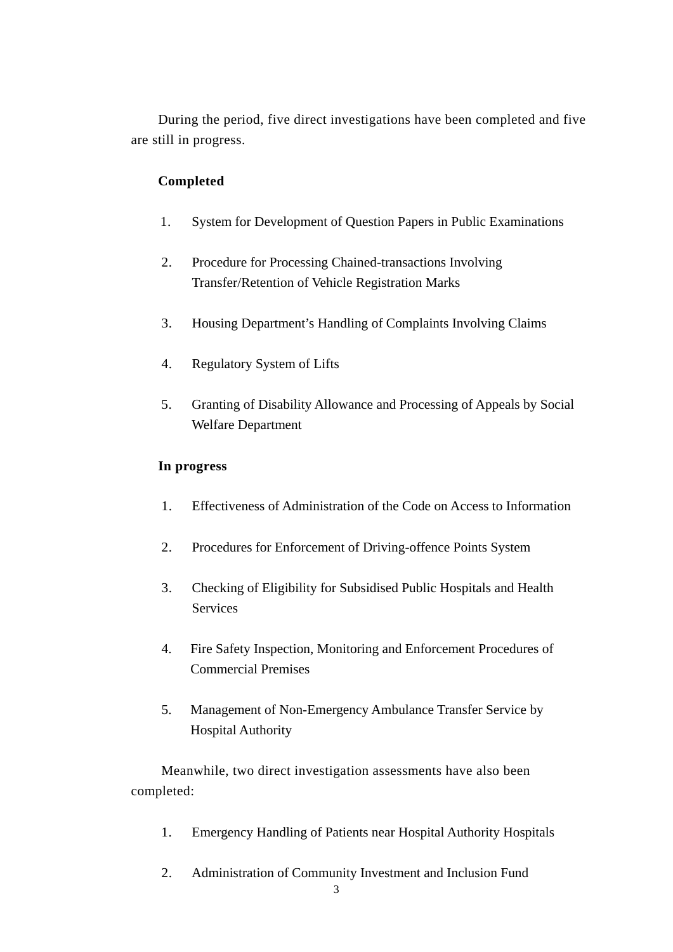During the period, five direct investigations have been completed and five are still in progress.

### **Completed**

- 1. System for Development of Question Papers in Public Examinations
- 2. Procedure for Processing Chained-transactions Involving Transfer/Retention of Vehicle Registration Marks
- 3. Housing Department's Handling of Complaints Involving Claims
- 4. Regulatory System of Lifts
- 5. Granting of Disability Allowance and Processing of Appeals by Social Welfare Department

### **In progress**

- 1. Effectiveness of Administration of the Code on Access to Information
- 2. Procedures for Enforcement of Driving-offence Points System
- 3. Checking of Eligibility for Subsidised Public Hospitals and Health Services
- 4. Fire Safety Inspection, Monitoring and Enforcement Procedures of Commercial Premises
- 5. Management of Non-Emergency Ambulance Transfer Service by Hospital Authority

Meanwhile, two direct investigation assessments have also been completed:

- 1. Emergency Handling of Patients near Hospital Authority Hospitals
- 2. Administration of Community Investment and Inclusion Fund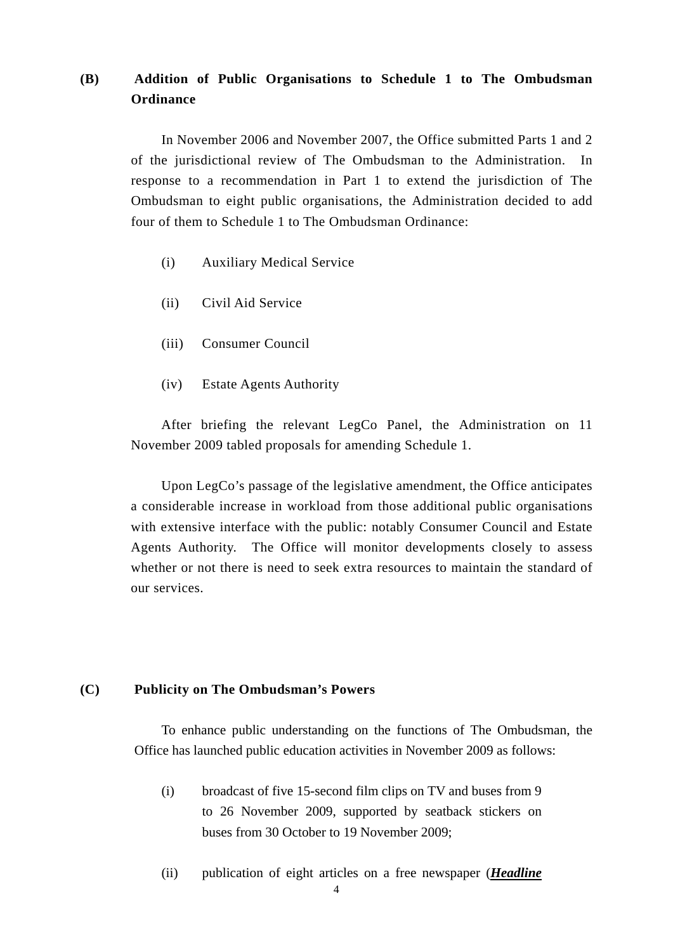## **(B) Addition of Public Organisations to Schedule 1 to The Ombudsman Ordinance**

In November 2006 and November 2007, the Office submitted Parts 1 and 2 of the jurisdictional review of The Ombudsman to the Administration. In response to a recommendation in Part 1 to extend the jurisdiction of The Ombudsman to eight public organisations, the Administration decided to add four of them to Schedule 1 to The Ombudsman Ordinance:

- (i) Auxiliary Medical Service
- (ii) Civil Aid Service
- (iii) Consumer Council
- (iv) Estate Agents Authority

After briefing the relevant LegCo Panel, the Administration on 11 November 2009 tabled proposals for amending Schedule 1.

Upon LegCo's passage of the legislative amendment, the Office anticipates a considerable increase in workload from those additional public organisations with extensive interface with the public: notably Consumer Council and Estate Agents Authority. The Office will monitor developments closely to assess whether or not there is need to seek extra resources to maintain the standard of our services.

#### **(C) Publicity on The Ombudsman's Powers**

To enhance public understanding on the functions of The Ombudsman, the Office has launched public education activities in November 2009 as follows:

- (i) broadcast of five 15-second film clips on TV and buses from 9 to 26 November 2009, supported by seatback stickers on buses from 30 October to 19 November 2009;
- (ii) publication of eight articles on a free newspaper (*Headline*